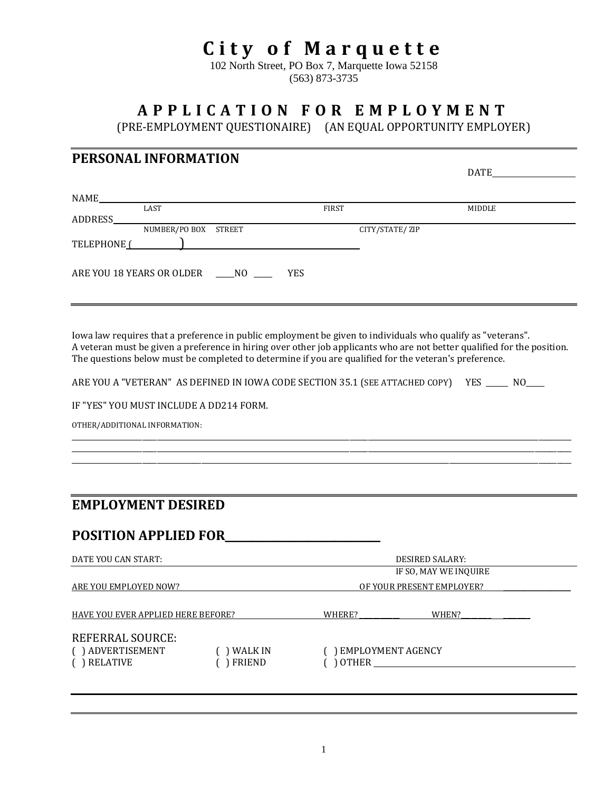# **City of Marquette**

102 North Street, PO Box 7, Marquette Iowa 52158 (563) 873-3735

# **A P P L I C A T I O N F O R E M P L O Y M E N T**

(PRE-EMPLOYMENT QUESTIONAIRE) (AN EQUAL OPPORTUNITY EMPLOYER)

# **PERSONAL INFORMATION**

|                                            |                      |                                                                                                                                                                                                                                      |  |              |                | DATE   |
|--------------------------------------------|----------------------|--------------------------------------------------------------------------------------------------------------------------------------------------------------------------------------------------------------------------------------|--|--------------|----------------|--------|
|                                            |                      |                                                                                                                                                                                                                                      |  |              |                |        |
| NAME                                       |                      |                                                                                                                                                                                                                                      |  |              |                |        |
|                                            | LAST                 |                                                                                                                                                                                                                                      |  | <b>FIRST</b> |                | MIDDLE |
| ADDRESS                                    |                      |                                                                                                                                                                                                                                      |  |              |                |        |
|                                            | NUMBER/PO BOX STREET |                                                                                                                                                                                                                                      |  |              | CITY/STATE/ZIP |        |
| TELEPHONE <sup>1</sup>                     |                      | <u>in the community of the community of the community of the community of the community of the community of the community of the community of the community of the community of the community of the community of the community </u> |  |              |                |        |
|                                            |                      |                                                                                                                                                                                                                                      |  |              |                |        |
| ARE YOU 18 YEARS OR OLDER NO<br><b>YES</b> |                      |                                                                                                                                                                                                                                      |  |              |                |        |
|                                            |                      |                                                                                                                                                                                                                                      |  |              |                |        |
|                                            |                      |                                                                                                                                                                                                                                      |  |              |                |        |
|                                            |                      |                                                                                                                                                                                                                                      |  |              |                |        |

Iowa law requires that a preference in public employment be given to individuals who qualify as "veterans". A veteran must be given a preference in hiring over other job applicants who are not better qualified for the position. The questions below must be completed to determine if you are qualified for the veteran's preference.

\_\_\_\_\_\_\_\_\_\_\_\_\_\_\_\_\_\_\_\_\_\_\_\_\_\_\_\_\_\_\_\_\_\_\_\_\_\_\_\_\_\_\_\_\_\_\_\_\_\_\_\_\_\_\_\_\_\_\_\_\_\_\_\_\_\_\_\_\_\_\_\_\_\_\_\_\_\_\_\_\_\_\_\_\_\_\_\_\_\_\_\_\_\_\_\_\_\_\_\_\_\_\_\_\_\_\_\_\_\_\_\_\_\_\_\_\_\_\_\_\_\_\_\_\_\_\_\_\_\_\_\_\_\_\_ \_\_\_\_\_\_\_\_\_\_\_\_\_\_\_\_\_\_\_\_\_\_\_\_\_\_\_\_\_\_\_\_\_\_\_\_\_\_\_\_\_\_\_\_\_\_\_\_\_\_\_\_\_\_\_\_\_\_\_\_\_\_\_\_\_\_\_\_\_\_\_\_\_\_\_\_\_\_\_\_\_\_\_\_\_\_\_\_\_\_\_\_\_\_\_\_\_\_\_\_\_\_\_\_\_\_\_\_\_\_\_\_\_\_\_\_\_\_\_\_\_\_\_\_\_\_\_\_\_\_\_\_\_\_\_ \_\_\_\_\_\_\_\_\_\_\_\_\_\_\_\_\_\_\_\_\_\_\_\_\_\_\_\_\_\_\_\_\_\_\_\_\_\_\_\_\_\_\_\_\_\_\_\_\_\_\_\_\_\_\_\_\_\_\_\_\_\_\_\_\_\_\_\_\_\_\_\_\_\_\_\_\_\_\_\_\_\_\_\_\_\_\_\_\_\_\_\_\_\_\_\_\_\_\_\_\_\_\_\_\_\_\_\_\_\_\_\_\_\_\_\_\_\_\_\_\_\_\_\_\_\_\_\_\_\_\_\_\_\_\_

ARE YOU A "VETERAN" AS DEFINED IN IOWA CODE SECTION 35.1 (SEE ATTACHED COPY) YES \_\_\_\_\_ NO\_\_\_\_

IF "YES" YOU MUST INCLUDE A DD214 FORM.

OTHER/ADDITIONAL INFORMATION:

### **EMPLOYMENT DESIRED**

# **POSITION APPLIED FOR**\_\_\_\_\_\_\_\_\_\_\_\_\_\_\_\_\_\_\_\_\_\_\_\_\_\_\_\_\_\_

| DATE YOU CAN START:                |         | <b>DESIRED SALARY:</b>    |                       |  |
|------------------------------------|---------|---------------------------|-----------------------|--|
|                                    |         |                           | IF SO, MAY WE INQUIRE |  |
| ARE YOU EMPLOYED NOW?              |         | OF YOUR PRESENT EMPLOYER? |                       |  |
|                                    |         |                           |                       |  |
| HAVE YOU EVER APPLIED HERE BEFORE? |         | WHERE?                    | WHEN?                 |  |
| <b>REFERRAL SOURCE:</b>            |         |                           |                       |  |
| () ADVERTISEMENT                   | WALK IN | ) EMPLOYMENT AGENCY       |                       |  |
| RELATIVE                           | FRIEND  | ) OTHER                   |                       |  |
|                                    |         |                           |                       |  |
|                                    |         |                           |                       |  |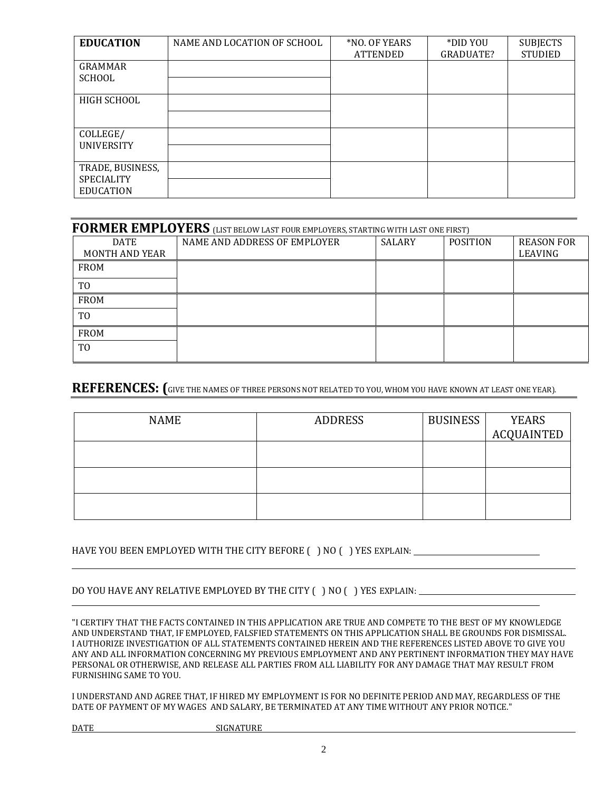| <b>EDUCATION</b>                                          | NAME AND LOCATION OF SCHOOL | *NO. OF YEARS<br><b>ATTENDED</b> | *DID YOU<br>GRADUATE? | <b>SUBJECTS</b><br><b>STUDIED</b> |
|-----------------------------------------------------------|-----------------------------|----------------------------------|-----------------------|-----------------------------------|
| <b>GRAMMAR</b><br>SCHOOL                                  |                             |                                  |                       |                                   |
| HIGH SCHOOL                                               |                             |                                  |                       |                                   |
| COLLEGE/<br><b>UNIVERSITY</b>                             |                             |                                  |                       |                                   |
| TRADE, BUSINESS,<br><b>SPECIALITY</b><br><b>EDUCATION</b> |                             |                                  |                       |                                   |

| FORMER EMPLOYERS (LIST BELOW LAST FOUR EMPLOYERS, STARTING WITH LAST ONE FIRST) |                              |               |                 |                              |
|---------------------------------------------------------------------------------|------------------------------|---------------|-----------------|------------------------------|
| <b>DATE</b><br><b>MONTH AND YEAR</b>                                            | NAME AND ADDRESS OF EMPLOYER | <b>SALARY</b> | <b>POSITION</b> | <b>REASON FOR</b><br>LEAVING |
| <b>FROM</b>                                                                     |                              |               |                 |                              |
| T <sub>0</sub>                                                                  |                              |               |                 |                              |
| <b>FROM</b>                                                                     |                              |               |                 |                              |
| TO                                                                              |                              |               |                 |                              |
| <b>FROM</b>                                                                     |                              |               |                 |                              |
| T <sub>0</sub>                                                                  |                              |               |                 |                              |

### REFERENCES: (GIVE THE NAMES OF THREE PERSONS NOT RELATED TO YOU, WHOM YOU HAVE KNOWN AT LEAST ONE YEAR).

| <b>NAME</b> | <b>ADDRESS</b> | <b>BUSINESS</b> | YEARS             |
|-------------|----------------|-----------------|-------------------|
|             |                |                 | <b>ACQUAINTED</b> |
|             |                |                 |                   |
|             |                |                 |                   |
|             |                |                 |                   |
|             |                |                 |                   |
|             |                |                 |                   |
|             |                |                 |                   |

#### HAVE YOU BEEN EMPLOYED WITH THE CITY BEFORE ( ) NO ( ) YES EXPLAIN: \_\_\_\_\_\_\_\_\_\_\_

#### DO YOU HAVE ANY RELATIVE EMPLOYED BY THE CITY ( ) NO ( ) YES EXPLAIN:

"I CERTIFY THAT THE FACTS CONTAINED IN THIS APPLICATION ARE TRUE AND COMPETE TO THE BEST OF MY KNOWLEDGE AND UNDERSTAND THAT, IF EMPLOYED, FALSFIED STATEMENTS ON THIS APPLICATION SHALL BE GROUNDS FOR DISMISSAL. I AUTHORIZE INVESTIGATION OF ALL STATEMENTS CONTAINED HEREIN AND THE REFERENCES LISTED ABOVE TO GIVE YOU ANY AND ALL INFORMATION CONCERNING MY PREVIOUS EMPLOYMENT AND ANY PERTINENT INFORMATION THEY MAY HAVE PERSONAL OR OTHERWISE, AND RELEASE ALL PARTIES FROM ALL LIABILITY FOR ANY DAMAGE THAT MAY RESULT FROM FURNISHING SAME TO YOU.

I UNDERSTAND AND AGREE THAT, IF HIRED MY EMPLOYMENT IS FOR NO DEFINITE PERIOD AND MAY, REGARDLESS OF THE DATE OF PAYMENT OF MY WAGES AND SALARY, BE TERMINATED AT ANY TIME WITHOUT ANY PRIOR NOTICE."

IGNATURE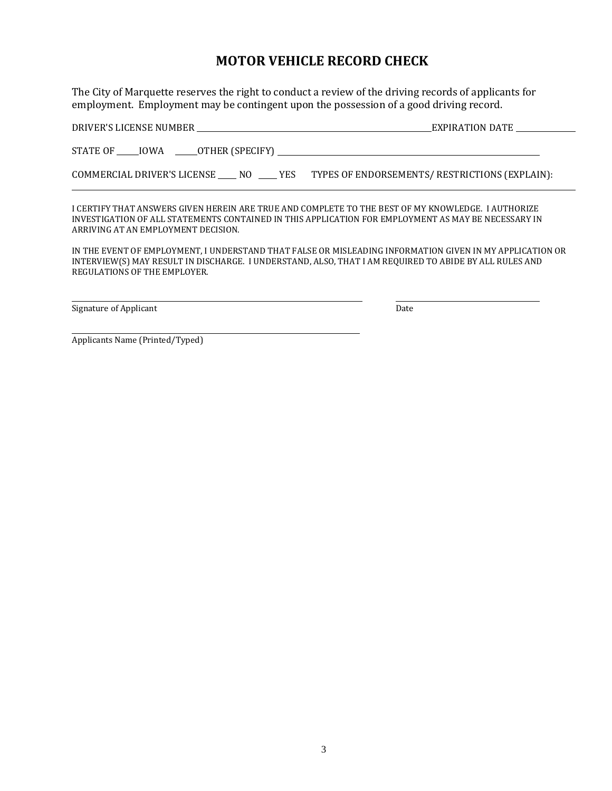# **MOTOR VEHICLE RECORD CHECK**

The City of Marquette reserves the right to conduct a review of the driving records of applicants for employment. Employment may be contingent upon the possession of a good driving record.

| DRIVER'S LICENSE NUMBER                                 | EXPIRATION DATE                                |
|---------------------------------------------------------|------------------------------------------------|
|                                                         |                                                |
| STATE OF<br><b>TOWA</b><br>______OTHER (SPECIFY) ______ |                                                |
|                                                         |                                                |
| COMMERCIAL DRIVER'S LICENSE NO<br>YES.                  | TYPES OF ENDORSEMENTS/ RESTRICTIONS (EXPLAIN): |

I CERTIFY THAT ANSWERS GIVEN HEREIN ARE TRUE AND COMPLETE TO THE BEST OF MY KNOWLEDGE. I AUTHORIZE INVESTIGATION OF ALL STATEMENTS CONTAINED IN THIS APPLICATION FOR EMPLOYMENT AS MAY BE NECESSARY IN ARRIVING AT AN EMPLOYMENT DECISION.

IN THE EVENT OF EMPLOYMENT, I UNDERSTAND THAT FALSE OR MISLEADING INFORMATION GIVEN IN MY APPLICATION OR INTERVIEW(S) MAY RESULT IN DISCHARGE. I UNDERSTAND, ALSO, THAT I AM REQUIRED TO ABIDE BY ALL RULES AND REGULATIONS OF THE EMPLOYER.

Signature of Applicant Date Date Date Date Date

Applicants Name (Printed/Typed)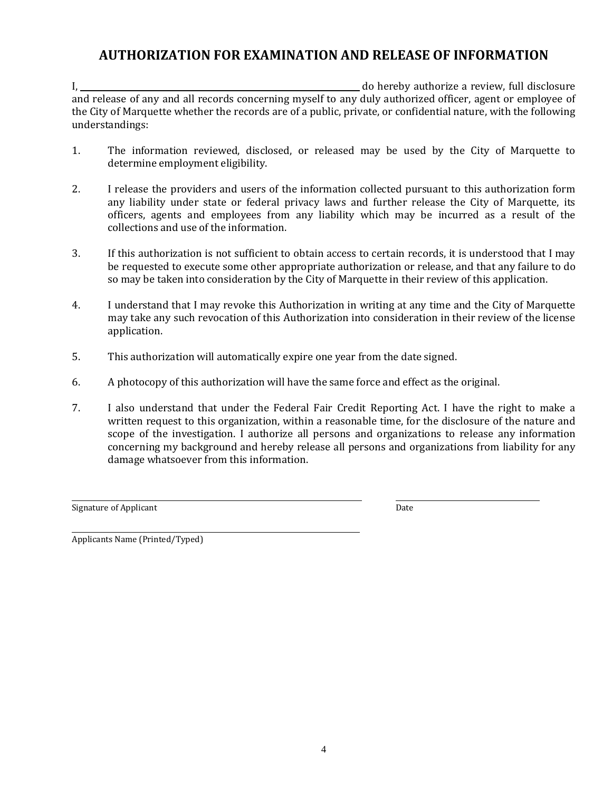# **AUTHORIZATION FOR EXAMINATION AND RELEASE OF INFORMATION**

I, do hereby authorize a review, full disclosure and release of any and all records concerning myself to any duly authorized officer, agent or employee of the City of Marquette whether the records are of a public, private, or confidential nature, with the following understandings:

- 1. The information reviewed, disclosed, or released may be used by the City of Marquette to determine employment eligibility.
- 2. I release the providers and users of the information collected pursuant to this authorization form any liability under state or federal privacy laws and further release the City of Marquette, its officers, agents and employees from any liability which may be incurred as a result of the collections and use of the information.
- 3. If this authorization is not sufficient to obtain access to certain records, it is understood that I may be requested to execute some other appropriate authorization or release, and that any failure to do so may be taken into consideration by the City of Marquette in their review of this application.
- 4. I understand that I may revoke this Authorization in writing at any time and the City of Marquette may take any such revocation of this Authorization into consideration in their review of the license application.
- 5. This authorization will automatically expire one year from the date signed.
- 6. A photocopy of this authorization will have the same force and effect as the original.
- 7. I also understand that under the Federal Fair Credit Reporting Act. I have the right to make a written request to this organization, within a reasonable time, for the disclosure of the nature and scope of the investigation. I authorize all persons and organizations to release any information concerning my background and hereby release all persons and organizations from liability for any damage whatsoever from this information.

Signature of Applicant Date Date Date Date

 $\overline{\phantom{a}}$ 

Applicants Name (Printed/Typed)